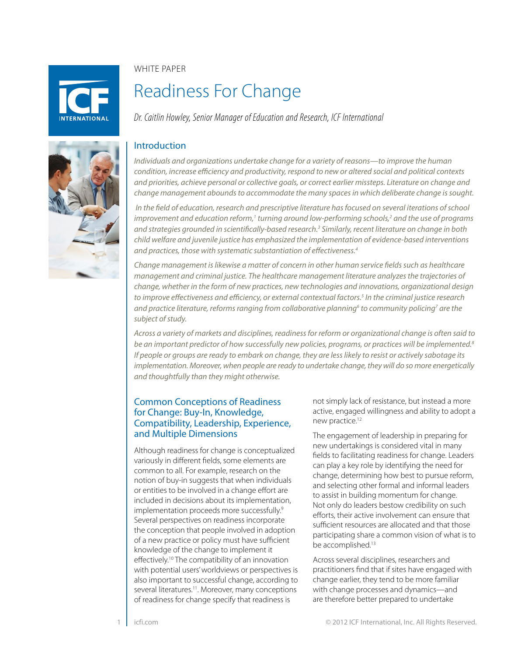**NTFRNATIONAL** 

WHITF PAPFR

# Readiness For Change

*Dr. Caitlin Howley, Senior Manager of Education and Research, ICF International*

# Introduction

*Individuals and organizations undertake change for a variety of reasons—to improve the human condition, increase efficiency and productivity, respond to new or altered social and political contexts and priorities, achieve personal or collective goals, or correct earlier missteps. Literature on change and change management abounds to accommodate the many spaces in which deliberate change is sought.*

 *In the field of education, research and prescriptive literature has focused on several iterations of school improvement and education reform,<sup>1</sup> turning around low-performing schools,<sup>2</sup> and the use of programs and strategies grounded in scientifically-based research.3 Similarly, recent literature on change in both child welfare and juvenile justice has emphasized the implementation of evidence-based interventions and practices, those with systematic substantiation of effectiveness.4*

*Change management is likewise a matter of concern in other human service fields such as healthcare management and criminal justice. The healthcare management literature analyzes the trajectories of change, whether in the form of new practices, new technologies and innovations, organizational design to improve effectiveness and efficiency, or external contextual factors.5 In the criminal justice research and practice literature, reforms ranging from collaborative planning6 to community policing7 are the subject of study.*

*Across a variety of markets and disciplines, readiness for reform or organizational change is often said to be an important predictor of how successfully new policies, programs, or practices will be implemented.8 If people or groups are ready to embark on change, they are less likely to resist or actively sabotage its implementation. Moreover, when people are ready to undertake change, they will do so more energetically and thoughtfully than they might otherwise.*

# Common Conceptions of Readiness for Change: Buy-In, Knowledge, Compatibility, Leadership, Experience, and Multiple Dimensions

Although readiness for change is conceptualized variously in different fields, some elements are common to all. For example, research on the notion of buy-in suggests that when individuals or entities to be involved in a change effort are included in decisions about its implementation, implementation proceeds more successfully.<sup>9</sup> Several perspectives on readiness incorporate the conception that people involved in adoption of a new practice or policy must have sufficient knowledge of the change to implement it effectively.10 The compatibility of an innovation with potential users' worldviews or perspectives is also important to successful change, according to several literatures.<sup>11</sup>. Moreover, many conceptions of readiness for change specify that readiness is

not simply lack of resistance, but instead a more active, engaged willingness and ability to adopt a new practice.<sup>12</sup>

The engagement of leadership in preparing for new undertakings is considered vital in many fields to facilitating readiness for change. Leaders can play a key role by identifying the need for change, determining how best to pursue reform, and selecting other formal and informal leaders to assist in building momentum for change. Not only do leaders bestow credibility on such efforts, their active involvement can ensure that sufficient resources are allocated and that those participating share a common vision of what is to be accomplished.<sup>13</sup>

Across several disciplines, researchers and practitioners find that if sites have engaged with change earlier, they tend to be more familiar with change processes and dynamics—and are therefore better prepared to undertake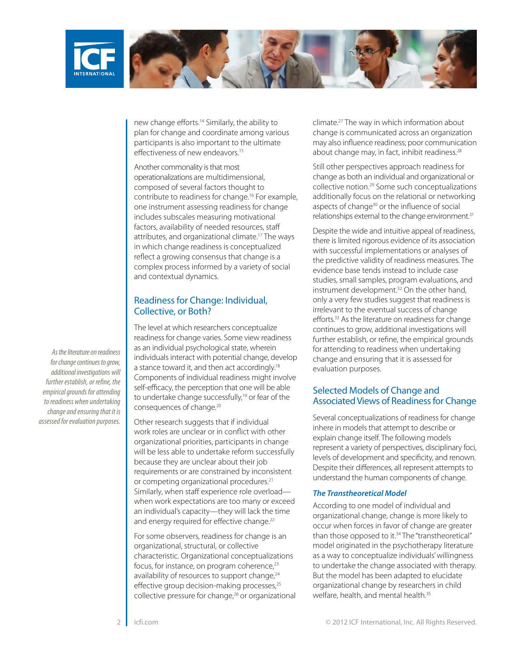

new change efforts.14 Similarly, the ability to plan for change and coordinate among various participants is also important to the ultimate effectiveness of new endeavors.15

Another commonality is that most operationalizations are multidimensional, composed of several factors thought to contribute to readiness for change.16 For example, one instrument assessing readiness for change includes subscales measuring motivational factors, availability of needed resources, staff attributes, and organizational climate.17 The ways in which change readiness is conceptualized reflect a growing consensus that change is a complex process informed by a variety of social and contextual dynamics.

## Readiness for Change: Individual, Collective, or Both?

The level at which researchers conceptualize readiness for change varies. Some view readiness as an individual psychological state, wherein individuals interact with potential change, develop a stance toward it, and then act accordingly.<sup>18</sup> Components of individual readiness might involve self-efficacy, the perception that one will be able to undertake change successfully,<sup>19</sup> or fear of the consequences of change.20

Other research suggests that if individual work roles are unclear or in conflict with other organizational priorities, participants in change will be less able to undertake reform successfully because they are unclear about their job requirements or are constrained by inconsistent or competing organizational procedures.<sup>21</sup> Similarly, when staff experience role overload when work expectations are too many or exceed an individual's capacity—they will lack the time and energy required for effective change.<sup>22</sup>

For some observers, readiness for change is an organizational, structural, or collective characteristic. Organizational conceptualizations focus, for instance, on program coherence,<sup>23</sup> availability of resources to support change,<sup>24</sup> effective group decision-making processes,<sup>25</sup> collective pressure for change,<sup>26</sup> or organizational climate.27 The way in which information about change is communicated across an organization may also influence readiness; poor communication about change may, in fact, inhibit readiness.<sup>28</sup>

Still other perspectives approach readiness for change as both an individual and organizational or collective notion.29 Some such conceptualizations additionally focus on the relational or networking aspects of change<sup>30</sup> or the influence of social relationships external to the change environment.<sup>31</sup>

Despite the wide and intuitive appeal of readiness, there is limited rigorous evidence of its association with successful implementations or analyses of the predictive validity of readiness measures. The evidence base tends instead to include case studies, small samples, program evaluations, and instrument development.32 On the other hand, only a very few studies suggest that readiness is irrelevant to the eventual success of change efforts.33 As the literature on readiness for change continues to grow, additional investigations will further establish, or refine, the empirical grounds for attending to readiness when undertaking change and ensuring that it is assessed for evaluation purposes.

# Selected Models of Change and Associated Views of Readiness for Change

Several conceptualizations of readiness for change inhere in models that attempt to describe or explain change itself. The following models represent a variety of perspectives, disciplinary foci, levels of development and specificity, and renown. Despite their differences, all represent attempts to understand the human components of change.

### *The Transtheoretical Model*

According to one model of individual and organizational change, change is more likely to occur when forces in favor of change are greater than those opposed to it.<sup>34</sup> The "transtheoretical" model originated in the psychotherapy literature as a way to conceptualize individuals' willingness to undertake the change associated with therapy. But the model has been adapted to elucidate organizational change by researchers in child welfare, health, and mental health.<sup>35</sup>

*As the literature on readiness for change continues to grow, additional investigations will further establish, or refine, the empirical grounds for attending to readiness when undertaking change and ensuring that it is assessed for evaluation purposes.*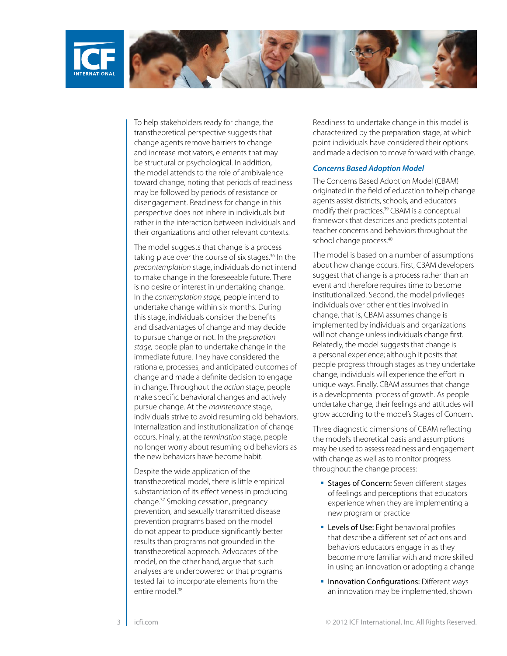

To help stakeholders ready for change, the transtheoretical perspective suggests that change agents remove barriers to change and increase motivators, elements that may be structural or psychological. In addition, the model attends to the role of ambivalence toward change, noting that periods of readiness may be followed by periods of resistance or disengagement. Readiness for change in this perspective does not inhere in individuals but rather in the interaction between individuals and their organizations and other relevant contexts.

The model suggests that change is a process taking place over the course of six stages.<sup>36</sup> In the *precontemplation* stage, individuals do not intend to make change in the foreseeable future. There is no desire or interest in undertaking change. In the *contemplation stage,* people intend to undertake change within six months. During this stage, individuals consider the benefits and disadvantages of change and may decide to pursue change or not. In the *preparation stage,* people plan to undertake change in the immediate future. They have considered the rationale, processes, and anticipated outcomes of change and made a definite decision to engage in change. Throughout the *action* stage, people make specific behavioral changes and actively pursue change. At the *maintenance* stage, individuals strive to avoid resuming old behaviors. Internalization and institutionalization of change occurs. Finally, at the *termination* stage, people no longer worry about resuming old behaviors as the new behaviors have become habit.

Despite the wide application of the transtheoretical model, there is little empirical substantiation of its effectiveness in producing change.37 Smoking cessation, pregnancy prevention, and sexually transmitted disease prevention programs based on the model do not appear to produce significantly better results than programs not grounded in the transtheoretical approach. Advocates of the model, on the other hand, argue that such analyses are underpowered or that programs tested fail to incorporate elements from the entire model<sup>38</sup>

Readiness to undertake change in this model is characterized by the preparation stage, at which point individuals have considered their options and made a decision to move forward with change.

### *Concerns Based Adoption Model*

The Concerns Based Adoption Model (CBAM) originated in the field of education to help change agents assist districts, schools, and educators modify their practices.<sup>39</sup> CBAM is a conceptual framework that describes and predicts potential teacher concerns and behaviors throughout the school change process.<sup>40</sup>

The model is based on a number of assumptions about how change occurs. First, CBAM developers suggest that change is a process rather than an event and therefore requires time to become institutionalized. Second, the model privileges individuals over other entities involved in change, that is, CBAM assumes change is implemented by individuals and organizations will not change unless individuals change first. Relatedly, the model suggests that change is a personal experience; although it posits that people progress through stages as they undertake change, individuals will experience the effort in unique ways. Finally, CBAM assumes that change is a developmental process of growth. As people undertake change, their feelings and attitudes will grow according to the model's Stages of Concern.

Three diagnostic dimensions of CBAM reflecting the model's theoretical basis and assumptions may be used to assess readiness and engagement with change as well as to monitor progress throughout the change process:

- **Stages of Concern:** Seven different stages of feelings and perceptions that educators experience when they are implementing a new program or practice
- **Levels of Use:** Eight behavioral profiles that describe a different set of actions and behaviors educators engage in as they become more familiar with and more skilled in using an innovation or adopting a change
- **Innovation Configurations: Different ways** an innovation may be implemented, shown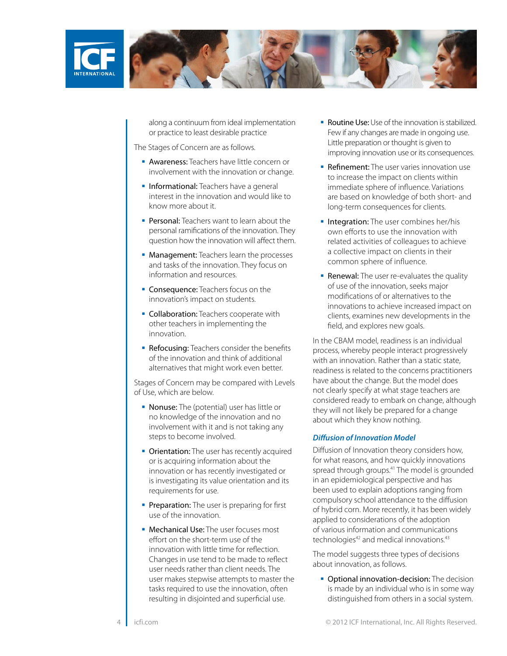

along a continuum from ideal implementation or practice to least desirable practice

The Stages of Concern are as follows.

- **Awareness:** Teachers have little concern or involvement with the innovation or change.
- **Informational:** Teachers have a general interest in the innovation and would like to know more about it.
- **Personal:** Teachers want to learn about the personal ramifications of the innovation. They question how the innovation will affect them.
- Management: Teachers learn the processes and tasks of the innovation. They focus on information and resources.
- **Consequence:** Teachers focus on the innovation's impact on students.
- **Collaboration:** Teachers cooperate with other teachers in implementing the innovation.
- Refocusing: Teachers consider the benefits of the innovation and think of additional alternatives that might work even better.

Stages of Concern may be compared with Levels of Use, which are below.

- **Nonuse:** The (potential) user has little or no knowledge of the innovation and no involvement with it and is not taking any steps to become involved.
- **Orientation:** The user has recently acquired or is acquiring information about the innovation or has recently investigated or is investigating its value orientation and its requirements for use.
- Preparation: The user is preparing for first use of the innovation.
- Mechanical Use: The user focuses most effort on the short-term use of the innovation with little time for reflection. Changes in use tend to be made to reflect user needs rather than client needs. The user makes stepwise attempts to master the tasks required to use the innovation, often resulting in disjointed and superficial use.
- Routine Use: Use of the innovation is stabilized. Few if any changes are made in ongoing use. Little preparation or thought is given to improving innovation use or its consequences.
- **Refinement:** The user varies innovation use to increase the impact on clients within immediate sphere of influence. Variations are based on knowledge of both short- and long-term consequences for clients.
- **Integration:** The user combines her/his own efforts to use the innovation with related activities of colleagues to achieve a collective impact on clients in their common sphere of influence.
- **Renewal:** The user re-evaluates the quality of use of the innovation, seeks major modifications of or alternatives to the innovations to achieve increased impact on clients, examines new developments in the field, and explores new goals.

In the CBAM model, readiness is an individual process, whereby people interact progressively with an innovation. Rather than a static state, readiness is related to the concerns practitioners have about the change. But the model does not clearly specify at what stage teachers are considered ready to embark on change, although they will not likely be prepared for a change about which they know nothing.

#### *Diffusion of Innovation Model*

Diffusion of Innovation theory considers how, for what reasons, and how quickly innovations spread through groups.41 The model is grounded in an epidemiological perspective and has been used to explain adoptions ranging from compulsory school attendance to the diffusion of hybrid corn. More recently, it has been widely applied to considerations of the adoption of various information and communications technologies<sup>42</sup> and medical innovations.<sup>43</sup>

The model suggests three types of decisions about innovation, as follows.

**• Optional innovation-decision:** The decision is made by an individual who is in some way distinguished from others in a social system.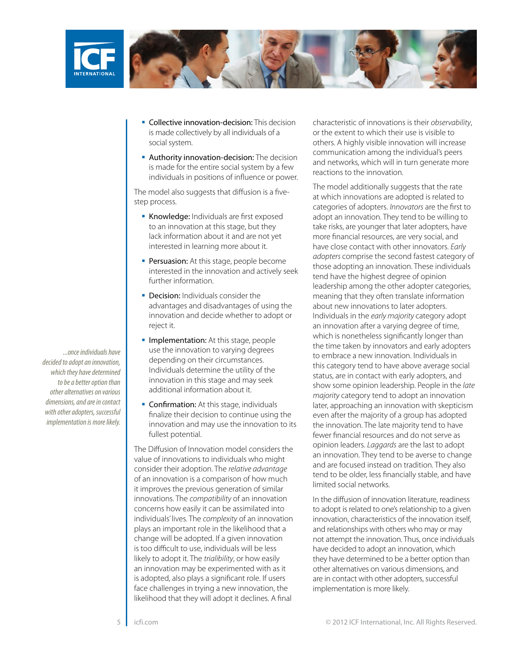

- **Collective innovation-decision:** This decision is made collectively by all individuals of a social system.
- **Authority innovation-decision:** The decision is made for the entire social system by a few individuals in positions of influence or power.

The model also suggests that diffusion is a fivestep process.

- **Knowledge:** Individuals are first exposed to an innovation at this stage, but they lack information about it and are not yet interested in learning more about it.
- Persuasion: At this stage, people become interested in the innovation and actively seek further information.
- **Decision:** Individuals consider the advantages and disadvantages of using the innovation and decide whether to adopt or reject it.
- **Implementation:** At this stage, people use the innovation to varying degrees depending on their circumstances. Individuals determine the utility of the innovation in this stage and may seek additional information about it.
- **Confirmation:** At this stage, individuals finalize their decision to continue using the innovation and may use the innovation to its fullest potential.

The Diffusion of Innovation model considers the value of innovations to individuals who might consider their adoption. The *relative advantage*  of an innovation is a comparison of how much it improves the previous generation of similar innovations. The *compatibility* of an innovation concerns how easily it can be assimilated into individuals' lives. The *complexity* of an innovation plays an important role in the likelihood that a change will be adopted. If a given innovation is too difficult to use, individuals will be less likely to adopt it. The *trialibility*, or how easily an innovation may be experimented with as it is adopted, also plays a significant role. If users face challenges in trying a new innovation, the likelihood that they will adopt it declines. A final

characteristic of innovations is their *observability*, or the extent to which their use is visible to others. A highly visible innovation will increase communication among the individual's peers and networks, which will in turn generate more reactions to the innovation.

The model additionally suggests that the rate at which innovations are adopted is related to categories of adopters. *Innovators* are the first to adopt an innovation. They tend to be willing to take risks, are younger that later adopters, have more financial resources, are very social, and have close contact with other innovators. *Early adopters* comprise the second fastest category of those adopting an innovation. These individuals tend have the highest degree of opinion leadership among the other adopter categories, meaning that they often translate information about new innovations to later adopters. Individuals in the *early majority* category adopt an innovation after a varying degree of time, which is nonetheless significantly longer than the time taken by innovators and early adopters to embrace a new innovation. Individuals in this category tend to have above average social status, are in contact with early adopters, and show some opinion leadership. People in the *late majority* category tend to adopt an innovation later, approaching an innovation with skepticism even after the majority of a group has adopted the innovation. The late majority tend to have fewer financial resources and do not serve as opinion leaders. *Laggards* are the last to adopt an innovation. They tend to be averse to change and are focused instead on tradition. They also tend to be older, less financially stable, and have limited social networks.

In the diffusion of innovation literature, readiness to adopt is related to one's relationship to a given innovation, characteristics of the innovation itself, and relationships with others who may or may not attempt the innovation. Thus, once individuals have decided to adopt an innovation, which they have determined to be a better option than other alternatives on various dimensions, and are in contact with other adopters, successful implementation is more likely.

*...once individuals have decided to adopt an innovation, which they have determined to be a better option than other alternatives on various dimensions, and are in contact with other adopters, successful implementation is more likely.*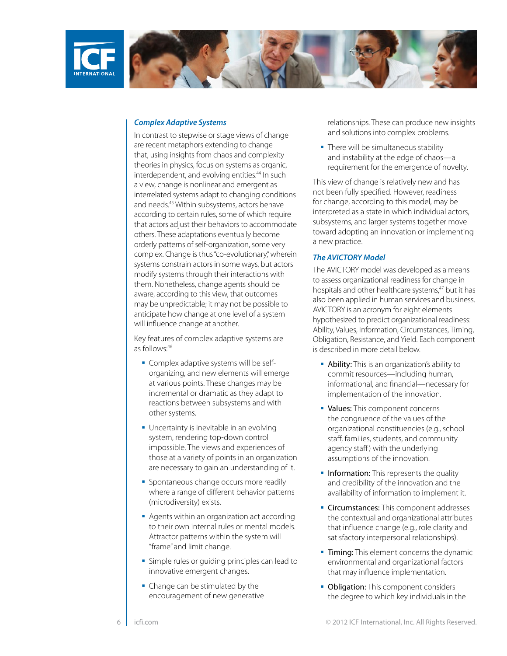



#### *Complex Adaptive Systems*

In contrast to stepwise or stage views of change are recent metaphors extending to change that, using insights from chaos and complexity theories in physics, focus on systems as organic, interdependent, and evolving entities.<sup>44</sup> In such a view, change is nonlinear and emergent as interrelated systems adapt to changing conditions and needs.45 Within subsystems, actors behave according to certain rules, some of which require that actors adjust their behaviors to accommodate others. These adaptations eventually become orderly patterns of self-organization, some very complex. Change is thus "co-evolutionary," wherein systems constrain actors in some ways, but actors modify systems through their interactions with them. Nonetheless, change agents should be aware, according to this view, that outcomes may be unpredictable; it may not be possible to anticipate how change at one level of a system will influence change at another.

Key features of complex adaptive systems are as follows:46

- **Complex adaptive systems will be self**organizing, and new elements will emerge at various points. These changes may be incremental or dramatic as they adapt to reactions between subsystems and with other systems.
- **Uncertainty is inevitable in an evolving** system, rendering top-down control impossible. The views and experiences of those at a variety of points in an organization are necessary to gain an understanding of it.
- **Spontaneous change occurs more readily** where a range of different behavior patterns (microdiversity) exists.
- Agents within an organization act according to their own internal rules or mental models. Attractor patterns within the system will "frame" and limit change.
- **Simple rules or quiding principles can lead to** innovative emergent changes.
- Change can be stimulated by the encouragement of new generative

relationships. These can produce new insights and solutions into complex problems.

• There will be simultaneous stability and instability at the edge of chaos—a requirement for the emergence of novelty.

This view of change is relatively new and has not been fully specified. However, readiness for change, according to this model, may be interpreted as a state in which individual actors, subsystems, and larger systems together move toward adopting an innovation or implementing a new practice.

#### *The AVICTORY Model*

The AVICTORY model was developed as a means to assess organizational readiness for change in hospitals and other healthcare systems,<sup>47</sup> but it has also been applied in human services and business. AVICTORY is an acronym for eight elements hypothesized to predict organizational readiness: Ability, Values, Information, Circumstances, Timing, Obligation, Resistance, and Yield. Each component is described in more detail below.

- **Ability:** This is an organization's ability to commit resources—including human, informational, and financial—necessary for implementation of the innovation.
- Values: This component concerns the congruence of the values of the organizational constituencies (e.g., school staff, families, students, and community agency staff) with the underlying assumptions of the innovation.
- **Information:** This represents the quality and credibility of the innovation and the availability of information to implement it.
- **Circumstances:** This component addresses the contextual and organizational attributes that influence change (e.g., role clarity and satisfactory interpersonal relationships).
- Timing: This element concerns the dynamic environmental and organizational factors that may influence implementation.
- Obligation: This component considers the degree to which key individuals in the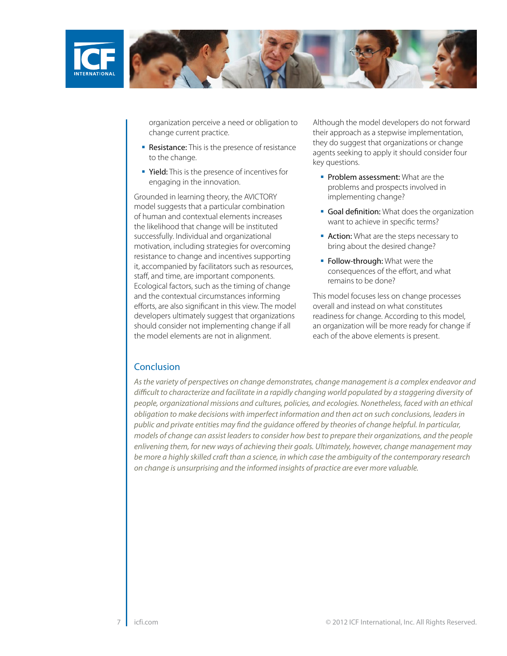

organization perceive a need or obligation to change current practice.

- Resistance: This is the presence of resistance to the change.
- Yield: This is the presence of incentives for engaging in the innovation.

Grounded in learning theory, the AVICTORY model suggests that a particular combination of human and contextual elements increases the likelihood that change will be instituted successfully. Individual and organizational motivation, including strategies for overcoming resistance to change and incentives supporting it, accompanied by facilitators such as resources, staff, and time, are important components. Ecological factors, such as the timing of change and the contextual circumstances informing efforts, are also significant in this view. The model developers ultimately suggest that organizations should consider not implementing change if all the model elements are not in alignment.

Although the model developers do not forward their approach as a stepwise implementation, they do suggest that organizations or change agents seeking to apply it should consider four key questions.

- Problem assessment: What are the problems and prospects involved in implementing change?
- Goal definition: What does the organization want to achieve in specific terms?
- **Action:** What are the steps necessary to bring about the desired change?
- **Follow-through:** What were the consequences of the effort, and what remains to be done?

This model focuses less on change processes overall and instead on what constitutes readiness for change. According to this model, an organization will be more ready for change if each of the above elements is present.

# **Conclusion**

*As the variety of perspectives on change demonstrates, change management is a complex endeavor and difficult to characterize and facilitate in a rapidly changing world populated by a staggering diversity of people, organizational missions and cultures, policies, and ecologies. Nonetheless, faced with an ethical obligation to make decisions with imperfect information and then act on such conclusions, leaders in public and private entities may find the guidance offered by theories of change helpful. In particular, models of change can assist leaders to consider how best to prepare their organizations, and the people enlivening them, for new ways of achieving their goals. Ultimately, however, change management may be more a highly skilled craft than a science, in which case the ambiguity of the contemporary research on change is unsurprising and the informed insights of practice are ever more valuable.*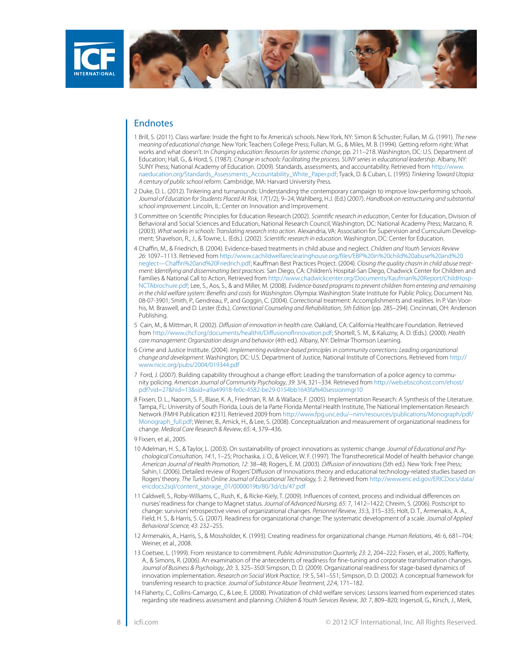

## Endnotes

- 1 Brill, S. (2011). Class warfare: Inside the fight to fix America's schools. New York, NY: Simon & Schuster; Fullan, M .G. (1991). *The new meaning of educational change.* New York: Teachers College Press; Fullan, M. G., & Miles, M. B. (1994). Getting reform right: What works and what doesn't. In *Changing education: Resources for systemic change*, pp. 211–218. Washington, DC: U.S. Department of Education; Hall, G., & Hord, S. (1987). *Change in schools: Facilitating the process. SUNY series in educational leadership*. Albany, NY: SUNY Press; National Academy of Education. (2009). Standards, assessments, and accountability. Retrieved from [http://www.](http://www.naeducation.org/Standards_Assessments_Accountability_White_Paper.pdf) [naeducation.org/Standards\\_Assessments\\_Accountability\\_White\\_Paper.pdf;](http://www.naeducation.org/Standards_Assessments_Accountability_White_Paper.pdf) Tyack, D. & Cuban, L. (1995) *Tinkering Toward Utopia: A century of public school reform*. Cambridge, MA: Harvard University Press.
- 2 Duke, D. L. (2012). Tinkering and turnarounds: Understanding the contemporary campaign to improve low-performing schools. *Journal of Education for Students Placed At Risk*, *17*(1/2), 9–24; Wahlberg, H.J. (Ed.) (2007). *Handbook on restructuring and substantial school improvement*. Lincoln, IL: Center on Innovation and Improvement.
- 3 Committee on Scientific Principles for Education Research (2002). *Scientific research in education*, Center for Education, Division of Behavioral and Social Sciences and Education, National Research Council, Washington, DC: National Academy Press; Marzano, R. (2003). *What works in schools: Translating research into action*. Alexandria, VA: Association for Supervision and Curriculum Development; Shavelson, R., J., & Towne, L. (Eds.). (2002). *Scientific research in education.* Washington, DC: Center for Education.
- 4 Chaffin, M., & Friedrich, B. (2004). Evidence-based treatments in child abuse and neglect. *Children and Youth Services Review 26*: 1097–1113. Retrieved from [http://www.cachildwelfareclearinghouse.org/files/EBP%20in%20child%20abuse%20and%20](http://www.cachildwelfareclearinghouse.org/files/EBP in child abuse and neglect--Chaffin and Friedrich.pdf) [neglect—Chaffin%20and%20Friedrich.pdf;](http://www.cachildwelfareclearinghouse.org/files/EBP in child abuse and neglect--Chaffin and Friedrich.pdf) Kauffman Best Practices Project. (2004). *Closing the quality chasm in child abuse treatment: Identifying and disseminating best practices*. San Diego, CA: Children's Hospital-San Diego, Chadwick Center for Children and Families & National Call to Action, Retrieved from [http://www.chadwickcenter.org/Documents/Kaufman%20Report/ChildHosp-](http://www.chadwickcenter.org/Documents/Kaufman Report/ChildHosp-NCTAbrochure.pdf)[NCTAbrochure.pdf](http://www.chadwickcenter.org/Documents/Kaufman Report/ChildHosp-NCTAbrochure.pdf); Lee, S., Aos, S., & and Miller, M. (2008). *Evidence-based programs to prevent children from entering and remaining in the child welfare system: Benefits and costs for Washington.* Olympia: Washington State Institute for Public Policy, Document No. 08-07-3901; Smith, P., Gendreau, P., and Goggin, C. (2004). Correctional treatment: Accomplishments and realities. In P. Van Voorhis, M. Braswell, and D. Lester (Eds.), *Correctional Counseling and Rehabilitation, 5th Edition* (pp. 285–294). Cincinnati, OH: Anderson Publishing.
- 5 Cain, M., & Mittman, R. (2002). *Diffusion of innovation in health care*. Oakland, CA: California Healthcare Foundation. Retrieved from [http://www.chcf.org/documents/healthit/DiffusionofInnovation.pdf;](http://www.chcf.org/documents/healthit/DiffusionofInnovation.pdf) Shortell, S. M., & Kaluzny, A. D. (Eds.). (2000). *Health care management: Organization design and behavior* (4th ed.). Albany, NY: Delmar Thomson Learning.
- 6 Crime and Justice Institute. (2004). *Implementing evidence-based principles in community corrections: Leading organizational change and development*. Washington, DC: U.S. Department of Justice, National Institute of Corrections. Retrieved from [http://](http://www.nicic.org/pubs/2004/019344.pdf) [www.nicic.org/pubs/2004/019344.pdf](http://www.nicic.org/pubs/2004/019344.pdf)
- 7 Ford, J. (2007). Building capability throughout a change effort: Leading the transformation of a police agency to community policing. *American Journal of Community Psychology*, *39*: 3/4, 321–334. Retrieved from [http://web.ebscohost.com/ehost/](http://web.ebscohost.com/ehost/pdf?vid=27&hid=13&sid=a9a49918-fe0c-4582-be29-0154bb1643fa%40sessionmgr10) [pdf?vid=27&hid=13&sid=a9a49918-fe0c-4582-be29-0154bb1643fa%40sessionmgr10](http://web.ebscohost.com/ehost/pdf?vid=27&hid=13&sid=a9a49918-fe0c-4582-be29-0154bb1643fa%40sessionmgr10)
- 8 Fixsen, D. L., Naoom, S. F., Blase, K. A., Friedman, R. M. & Wallace, F. (2005). Implementation Research: A Synthesis of the Literature. Tampa, FL: University of South Florida, Louis de la Parte Florida Mental Health Institute, The National Implementation Research Network (FMHI Publication #231). Retrieved 2009 from [http://www.fpg.unc.edu/~nirn/resources/publications/Monograph/pdf/](http://www.fpg.unc.edu/~nirn/resources/publications/Monograph/pdf/Monograph_full.pdf) [Monograph\\_full.pdf;](http://www.fpg.unc.edu/~nirn/resources/publications/Monograph/pdf/Monograph_full.pdf) Weiner, B., Amick, H., & Lee, S. (2008). Conceptualization and measurement of organizational readiness for change. *Medical Care Research & Review*, *65*: 4, 379–436.
- 9 Fixsen, et al., 2005.
- 10 Adelman, H. S., & Taylor, L. (2003). On sustainability of project innovations as systemic change. *Journal of Educational and Psychological Consultation, 14*:1, 1–25; Prochaska, J. O., & Velicer, W. F. (1997). The Transtheoretical Model of health behavior change. *American Journal of Health Promotion, 12*: 38–48; Rogers, E. M. (2003). *Diffusion of innovations* (5th ed.). New York: Free Press; Sahin, I. (2006). Detailed review of Rogers' Diffusion of Innovations theory and educational technology-related studies based on Rogers' theory. *The Turkish Online Journal of Educational Technology, 5*: 2. Retrieved from [http://www.eric.ed.gov/ERICDocs/data/](http://www.eric.ed.gov/ERICDocs/data/ericdocs2sql/content_storage_01/0000019b/80/3d/cb/47.pdf) [ericdocs2sql/content\\_storage\\_01/0000019b/80/3d/cb/47.pdf](http://www.eric.ed.gov/ERICDocs/data/ericdocs2sql/content_storage_01/0000019b/80/3d/cb/47.pdf)
- 11 Caldwell, S., Roby-Williams, C., Rush, K., & Ricke-Kiely, T. (2009). Influences of context, process and individual differences on nurses' readiness for change to Magnet status. *Journal of Advanced Nursing*, *65*: 7, 1412–1422; Chreim, S. (2006). Postscript to change: survivors' retrospective views of organizational changes. *Personnel Review*, *35*:3, 315–335; Holt, D. T., Armenakis, A. A., Field, H. S., & Harris, S. G. (2007). Readiness for organizational change: The systematic development of a scale. *Journal of Applied Behavioral Science, 43*: 232–255.
- 12 Armenakis, A., Harris, S., & Mossholder, K. (1993). Creating readiness for organizational change. *Human Relations*, *46*: 6, 681–704; Weiner et al., 2008.
- 13 Coetsee, L. (1999). From resistance to commitment. *Public Administration Quarterly, 23*: 2, 204–222; Fixsen, et al., 2005; Rafferty, A., & Simons, R. (2006). An examination of the antecedents of readiness for fine-tuning and corporate transformation changes. *Journal of Business & Psychology*, *20*: 3, 325–350l Simpson, D. D. (2009). Organizational readiness for stage-based dynamics of innovation implementation. *Research on Social Work Practice*, *19*: 5, 541–551; Simpson, D. D. (2002). A conceptual framework for transferring research to practice. *Journal of Substance Abuse Treatment, 22*:4, 171–182.
- 14 Flaherty, C., Collins-Camargo, C., & Lee, E. (2008). Privatization of child welfare services: Lessons learned from experienced states regarding site readiness assessment and planning. *Children & Youth Services Review*, *30*: 7, 809–820; Ingersoll, G., Kirsch, J., Merk,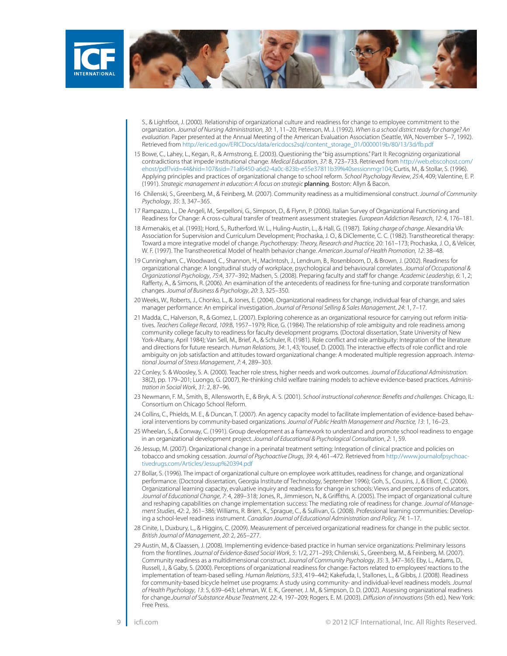

S., & Lightfoot, J. (2000). Relationship of organizational culture and readiness for change to employee commitment to the organization. *Journal of Nursing Administration, 30*: 1, 11–20; Peterson, M. J. (1992). *When is a school district ready for change? An evaluation*. Paper presented at the Annual Meeting of the American Evaluation Association (Seattle, WA, November 5–7, 1992). Retrieved from [http://eric.ed.gov/ERICDocs/data/ericdocs2sql/content\\_storage\\_01/0000019b/80/13/3d/fb.pdf](http://eric.ed.gov/ERICDocs/data/ericdocs2sql/content_storage_01/0000019b/80/13/3d/fb.pdf)

- 15 Bowe, C., Lahey, L., Kegan, R., & Armstrong, E. (2003). Questioning the "big assumptions." Part II: Recognizing organizational contradictions that impede institutional change. *Medical Education*, *37*: 8, 723–733. Retrieved from [http://web.ebscohost.com/](http://web.ebscohost.com/ehost/pdf?vid=44&hid=107&sid=71af6450-a6d2-4a0c-823b-e55e37811b39%40sessionmgr104) [ehost/pdf?vid=44&hid=107&sid=71af6450-a6d2-4a0c-823b-e55e37811b39%40sessionmgr104;](http://web.ebscohost.com/ehost/pdf?vid=44&hid=107&sid=71af6450-a6d2-4a0c-823b-e55e37811b39%40sessionmgr104) Curtis, M., & Stollar, S. (1996). Applying principles and practices of organizational change to school reform. *School Psychology Review*, *25*:4, 409; Valentine, E. P. (1991). *Strategic management in education: A focus on strategic* planning*.* Boston: Allyn & Bacon.
- 16 Chilenski, S., Greenberg, M., & Feinberg, M. (2007). Community readiness as a multidimensional construct. *Journal of Community Psychology*, *35*: 3, 347–365.
- 17 Rampazzo, L., De Angeli, M., Serpelloni, G., Simpson, D., & Flynn, P. (2006). Italian Survey of Organizational Functioning and Readiness for Change: A cross-cultural transfer of treatment assessment strategies. *European Addiction Research*, *12*: 4, 176–181.
- 18 Armenakis, et al. (1993); Hord, S., Rutherford. W. L., Huling-Austin, L., & Hall, G. (1987). *Taking charge of change*. Alexandria VA: Association for Supervision and Curriculum Development; Prochaska, J. O., & DiClemente, C. C. (1982). Transtheoretical therapy: Toward a more integrative model of change. *Psychotherapy: Theory, Research and Practice,* 20: 161–173; Prochaska, J. O., & Velicer, W. F. (1997). The Transtheoretical Model of health behavior change. *American Journal of Health Promotion, 12*: 38–48.
- 19 Cunningham, C., Woodward, C., Shannon, H., MacIntosh, J., Lendrum, B., Rosenbloom, D., & Brown, J. (2002). Readiness for organizational change: A longitudinal study of workplace, psychological and behavioural correlates. *Journal of Occupational & Organizational Psychology*, *75*:4, 377–392; Madsen, S. (2008). Preparing faculty and staff for change. *Academic Leadership*, *6*: 1, 2; Rafferty, A., & Simons, R. (2006). An examination of the antecedents of readiness for fine-tuning and corporate transformation changes. *Journal of Business & Psychology*, *20*: 3, 325–350.
- 20 Weeks, W., Roberts, J., Chonko, L., & Jones, E. (2004). Organizational readiness for change, individual fear of change, and sales manager performance: An empirical investigation. *Journal of Personal Selling & Sales Management*, *24*: 1, 7–17.
- 21 Madda, C., Halverson, R., & Gomez, L. (2007). Exploring coherence as an organizational resource for carrying out reform initiatives. *Teachers College Record*, *109*:8, 1957–1979; Rice, G. (1984). The relationship of role ambiguity and role readiness among community college faculty to readiness for faculty development programs. (Doctoral dissertation, State University of New York-Albany, April 1984); Van Sell, M., Brief, A., & Schuler, R. (1981). Role conflict and role ambiguity: Integration of the literature and directions for future research. *Human Relations*, *34*: 1, 43; Yousef, D. (2000). The interactive effects of role conflict and role ambiguity on job satisfaction and attitudes toward organizational change: A moderated multiple regression approach. *International Journal of Stress Management*, *7*: 4, 289–303.
- 22 Conley, S. & Woosley, S. A. (2000). Teacher role stress, higher needs and work outcomes. *Journal of Educational Administration*. 38(2), pp. 179–201; Luongo, G. (2007). Re-thinking child welfare training models to achieve evidence-based practices. *Administration in Social Work*, *31*: 2, 87–96.
- 23 Newmann, F. M., Smith, B., Allensworth, E., & Bryk, A. S. (2001). *School instructional coherence: Benefits and challenges*. Chicago, IL: Consortium on Chicago School Reform.
- 24 Collins, C., Phields, M. E., & Duncan, T. (2007). An agency capacity model to facilitate implementation of evidence-based behavioral interventions by community-based organizations. *Journal of Public Health Management and Practice, 13*: 1, 16–23.
- 25 Wheelan, S., & Conway, C. (1991). Group development as a framework to understand and promote school readiness to engage in an organizational development project. *Journal of Educational & Psychological Consultation*, *2*: 1, 59.
- 26 Jessup, M. (2007). Organizational change in a perinatal treatment setting: Integration of clinical practice and policies on tobacco and smoking cessation. *Journal of Psychoactive Drugs*, *39*: 4, 461–472. Retrieved from [http://www.journalofpsychoac](http://www.journalofpsychoactivedrugs.com/Articles/Jessup 394.pdf)[tivedrugs.com/Articles/Jessup%20394.pdf](http://www.journalofpsychoactivedrugs.com/Articles/Jessup 394.pdf)
- 27 Bollar, S. (1996). The impact of organizational culture on employee work attitudes, readiness for change, and organizational performance. (Doctoral dissertation, Georgia Institute of Technology, September 1996); Goh, S., Cousins, J., & Elliott, C. (2006). Organizational learning capacity, evaluative inquiry and readiness for change in schools: Views and perceptions of educators. *Journal of Educational Change*, *7*: 4, 289–318; Jones, R., Jimmieson, N., & Griffiths, A. (2005). The impact of organizational culture and reshaping capabilities on change implementation success: The mediating role of readiness for change. *Journal of Management Studies*, *42*: 2, 361–386; Williams, R. Brien, K., Sprague, C., & Sullivan, G. (2008). Professional learning communities: Developing a school-level readiness instrument. *Canadian Journal of Educational Administration and Policy, 74*: 1–17.
- 28 Cinite, I., Duxbury, L., & Higgins, C. (2009). Measurement of perceived organizational readiness for change in the public sector. *British Journal of Management*, *20*: 2, 265–277.
- 29 Austin, M., & Claassen, J. (2008). Implementing evidence-based practice in human service organizations: Preliminary lessons from the frontlines. *Journal of Evidence-Based Social Work*, *5*: 1/2, 271–293; Chilenski, S., Greenberg, M., & Feinberg, M. (2007). Community readiness as a multidimensional construct. *Journal of Community Psychology*, *35*: 3, 347–365; Eby, L., Adams, D., Russell, J., & Gaby, S. (2000). Perceptions of organizational readiness for change: Factors related to employees' reactions to the implementation of team-based selling. *Human Relations*, *53*:3, 419–442; Kakefuda, I., Stallones, L., & Gibbs, J. (2008). Readiness for community-based bicycle helmet use programs: A study using community- and individual-level readiness models. *Journal of Health Psychology*, *13*: 5, 639–643; Lehman, W. E. K., Greener, J. M., & Simpson, D. D. (2002). Assessing organizational readiness for change.*Journal of Substance Abuse Treatment, 22*: 4, 197–209; Rogers, E. M. (2003). *Diffusion of innovations* (5th ed.). New York: Free Press.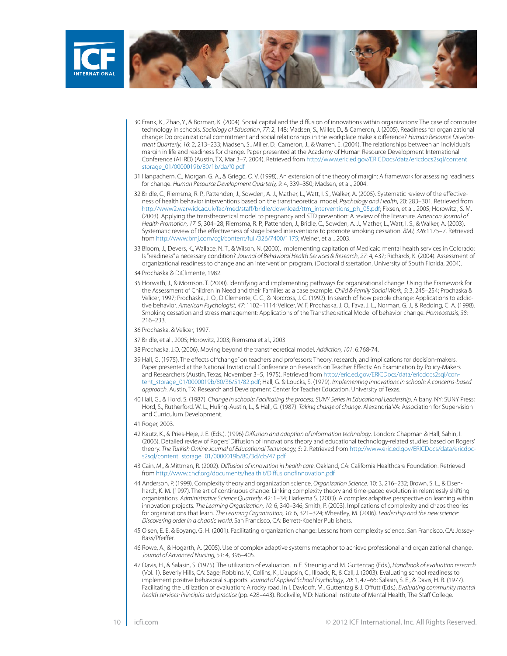

- 30 Frank, K., Zhao, Y., & Borman, K. (2004). Social capital and the diffusion of innovations within organizations: The case of computer technology in schools. *Sociology of Education*, *77*: 2, 148; Madsen, S., Miller, D., & Cameron, J. (2005). Readiness for organizational change: Do organizational commitment and social relationships in the workplace make a difference? *Human Resource Development Quarterly*, *16*: 2, 213–233; Madsen, S., Miller, D., Cameron, J., & Warren, E. (2004). The relationships between an individual's margin in life and readiness for change. Paper presented at the Academy of Human Resource Development International Conference (AHRD) (Austin, TX, Mar 3–7, 2004). Retrieved from [http://www.eric.ed.gov/ERICDocs/data/ericdocs2sql/content\\_](http://www.eric.ed.gov/ERICDocs/data/ericdocs2sql/content_storage_01/0000019b/80/1b/da/f0.pdf) [storage\\_01/0000019b/80/1b/da/f0.pdf](http://www.eric.ed.gov/ERICDocs/data/ericdocs2sql/content_storage_01/0000019b/80/1b/da/f0.pdf)
- 31 Hanpachern, C., Morgan, G. A., & Griego, O. V. (1998). An extension of the theory of margin: A framework for assessing readiness for change. *Human Resource Development Quarterly, 9*: 4, 339–350; Madsen, et al., 2004.
- 32 Bridle, C., Riemsma, R. P., Pattenden, J., Sowden, A. J., Mather, L., Watt, I. S., Walker, A. (2005). Systematic review of the effectiveness of health behavior interventions based on the transtheoretical model. *Psychology and Health*, 20: 283–301. Retrieved from [http://www2.warwick.ac.uk/fac/med/staff/bridle/download/ttm\\_interventions\\_ph\\_05.pdf](http://www2.warwick.ac.uk/fac/med/staff/bridle/download/ttm_interventions_ph_05.pdf); Fixsen, et al., 2005; Horowitz , S. M. (2003). Applying the transtheoretical model to pregnancy and STD prevention: A review of the literature. *American Journal of Health Promotion, 17*: 5, 304–28; Riemsma, R. P., Pattenden, J., Bridle, C., Sowden, A. J., Mather, L., Watt, I. S., & Walker, A. (2003). Systematic review of the effectiveness of stage based interventions to promote smoking cessation. *BMJ, 326*:1175–7. Retrieved from<http://www.bmj.com/cgi/content/full/326/7400/1175>; Weiner, et al., 2003.
- 33 Bloom, J., Devers, K., Wallace, N. T., & Wilson, N. (2000). Implementing capitation of Medicaid mental health services in Colorado: Is "readiness" a necessary condition? *Journal of Behavioral Health Services & Research*, *27*: 4, 437; Richards, K. (2004). Assessment of organizational readiness to change and an intervention program. (Doctoral dissertation, University of South Florida, 2004).
- 34 Prochaska & DiClimente, 1982.
- 35 Horwath, J., & Morrison, T. (2000). Identifying and implementing pathways for organizational change: Using the Framework for the Assessment of Children in Need and their Families as a case example. *Child & Family Social Work*, *5*: 3, 245–254; Prochaska & Velicer, 1997; Prochaska, J. O., DiClemente, C. C., & Norcross, J. C. (1992). In search of how people change: Applications to addictive behavior. *American Psychologist, 47*: 1102–1114; Velicer, W. F, Prochaska, J. O., Fava, J. L., Norman, G. J., & Redding, C. A. (1998). Smoking cessation and stress management: Applications of the Transtheoretical Model of behavior change. *Homeostasis, 38*: 216–233.

36 Prochaska, & Velicer, 1997.

- 37 Bridle, et al., 2005; Horowitz, 2003; Riemsma et al., 2003.
- 38 Prochaska, J.O. (2006). Moving beyond the transtheoretical model. *Addiction, 101*: 6:768-74.
- 39 Hall, G. (1975). The effects of "change" on teachers and professors: Theory, research, and implications for decision-makers. Paper presented at the National Invitational Conference on Research on Teacher Effects: An Examination by Policy-Makers and Researchers (Austin, Texas, November 3–5, 1975). Retrieved from [http://eric.ed.gov/ERICDocs/data/ericdocs2sql/con](http://eric.ed.gov/ERICDocs/data/ericdocs2sql/content_storage_01/0000019b/80/36/51/82.pdf)[tent\\_storage\\_01/0000019b/80/36/51/82.pdf;](http://eric.ed.gov/ERICDocs/data/ericdocs2sql/content_storage_01/0000019b/80/36/51/82.pdf) Hall, G. & Loucks, S. (1979). *Implementing innovations in schools: A concerns-based approach.* Austin, TX: Research and Development Center for Teacher Education, University of Texas.
- 40 Hall, G., & Hord, S. (1987). *Change in schools: Facilitating the process. SUNY Series in Educational Leadership*. Albany, NY: SUNY Press; Hord, S., Rutherford. W. L., Huling-Austin, L., & Hall, G. (1987). *Taking charge of change*. Alexandria VA: Association for Supervision and Curriculum Development.
- 41 Roger, 2003.
- 42 Kautz, K., & Pries-Heje, J. E. (Eds.). (1996) *Diffusion and adoption of information technology*. London: Chapman & Hall; Sahin, I. (2006). Detailed review of Rogers' Diffusion of Innovations theory and educational technology-related studies based on Rogers' theory. *The Turkish Online Journal of Educational Technology, 5*: 2. Retrieved from [http://www.eric.ed.gov/ERICDocs/data/ericdoc](http://www.eric.ed.gov/ERICDocs/data/ericdocs2sql/content_storage_01/0000019b/80/3d/cb/47.pdf)[s2sql/content\\_storage\\_01/0000019b/80/3d/cb/47.pdf](http://www.eric.ed.gov/ERICDocs/data/ericdocs2sql/content_storage_01/0000019b/80/3d/cb/47.pdf)
- 43 Cain, M., & Mittman, R. (2002). *Diffusion of innovation in health care*. Oakland, CA: California Healthcare Foundation. Retrieved from<http://www.chcf.org/documents/healthit/DiffusionofInnovation.pdf>
- 44 Anderson, P. (1999). Complexity theory and organization science. *Organization Science*. 10: 3, 216–232; Brown, S. L., & Eisenhardt, K. M. (1997). The art of continuous change: Linking complexity theory and time-paced evolution in relentlessly shifting organizations. *Administrative Science Quarterly*, 42: 1–34; Harkema S. (2003). A complex adaptive perspective on learning within innovation projects. *The Learning Organization, 10*: 6, 340–346; Smith, P. (2003). Implications of complexity and chaos theories for organizations that learn. *The Learning Organization, 10*: 6, 321–324; Wheatley, M. (2006). *Leadership and the new science: Discovering order in a chaotic world.* San Francisco, CA: Berrett-Koehler Publishers.
- 45 Olsen, E. E. & Eoyang, G. H. (2001). Facilitating organization change: Lessons from complexity science. San Francisco, CA: Jossey-Bass/Pfeiffer.
- 46 Rowe, A., & Hogarth, A. (2005). Use of complex adaptive systems metaphor to achieve professional and organizational change. *Journal of Advanced Nursing, 51*: 4, 396–405.
- 47 Davis, H., & Salasin, S. (1975). The utilization of evaluation. In E. Streunig and M. Guttentag (Eds.), *Handbook of evaluation research*  (Vol. 1). Beverly Hills, CA: Sage; Robbins, V., Collins, K., Liaupsin, C., Illback, R., & Call, J. (2003). Evaluating school readiness to implement positive behavioral supports. *Journal of Applied School Psychology*, *20*: 1, 47–66; Salasin, S. E., & Davis, H. R. (1977). Facilitating the utilization of evaluation: A rocky road. In I. Davidoff, M., Guttentag & J. Offutt (Eds.), *Evaluating community mental health services: Principles and practice* (pp. 428–443). Rockville, MD: National Institute of Mental Health, The Staff College.